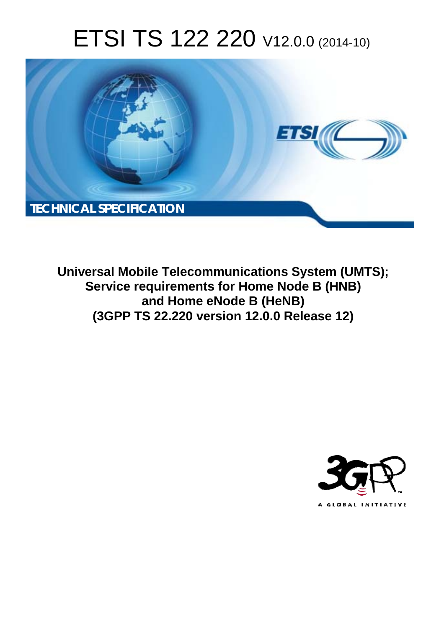# ETSI TS 122 220 V12.0.0 (2014-10)



**Universal Mobile Telecommunications System (UMTS); Service requirements for Home Node B (HNB) and Home eNode B (HeNB) (3GPP TS 22.220 version 12.0.0 Release 12)** 

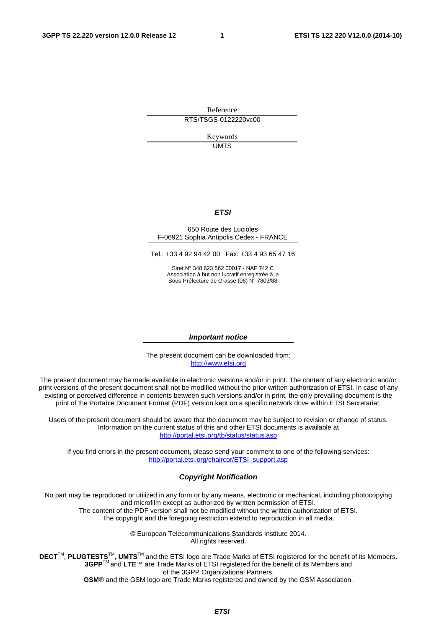Reference RTS/TSGS-0122220vc00

> Keywords UMTS

### *ETSI*

#### 650 Route des Lucioles F-06921 Sophia Antipolis Cedex - FRANCE

Tel.: +33 4 92 94 42 00 Fax: +33 4 93 65 47 16

Siret N° 348 623 562 00017 - NAF 742 C Association à but non lucratif enregistrée à la Sous-Préfecture de Grasse (06) N° 7803/88

#### *Important notice*

The present document can be downloaded from: [http://www.etsi.org](http://www.etsi.org/)

The present document may be made available in electronic versions and/or in print. The content of any electronic and/or print versions of the present document shall not be modified without the prior written authorization of ETSI. In case of any existing or perceived difference in contents between such versions and/or in print, the only prevailing document is the print of the Portable Document Format (PDF) version kept on a specific network drive within ETSI Secretariat.

Users of the present document should be aware that the document may be subject to revision or change of status. Information on the current status of this and other ETSI documents is available at <http://portal.etsi.org/tb/status/status.asp>

If you find errors in the present document, please send your comment to one of the following services: [http://portal.etsi.org/chaircor/ETSI\\_support.asp](http://portal.etsi.org/chaircor/ETSI_support.asp)

### *Copyright Notification*

No part may be reproduced or utilized in any form or by any means, electronic or mechanical, including photocopying and microfilm except as authorized by written permission of ETSI.

The content of the PDF version shall not be modified without the written authorization of ETSI. The copyright and the foregoing restriction extend to reproduction in all media.

> © European Telecommunications Standards Institute 2014. All rights reserved.

**DECT**TM, **PLUGTESTS**TM, **UMTS**TM and the ETSI logo are Trade Marks of ETSI registered for the benefit of its Members. **3GPP**TM and **LTE**™ are Trade Marks of ETSI registered for the benefit of its Members and of the 3GPP Organizational Partners.

**GSM**® and the GSM logo are Trade Marks registered and owned by the GSM Association.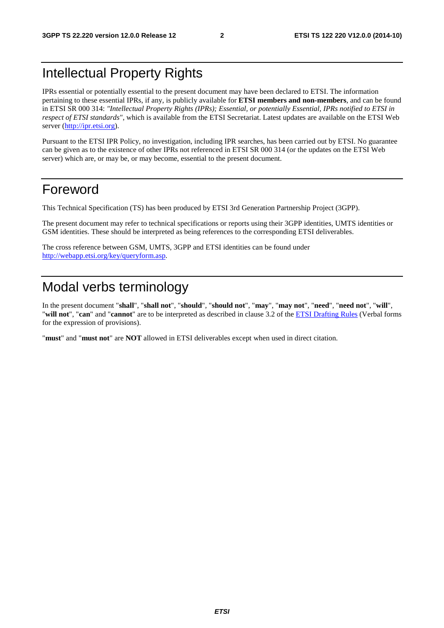## Intellectual Property Rights

IPRs essential or potentially essential to the present document may have been declared to ETSI. The information pertaining to these essential IPRs, if any, is publicly available for **ETSI members and non-members**, and can be found in ETSI SR 000 314: *"Intellectual Property Rights (IPRs); Essential, or potentially Essential, IPRs notified to ETSI in respect of ETSI standards"*, which is available from the ETSI Secretariat. Latest updates are available on the ETSI Web server [\(http://ipr.etsi.org](http://webapp.etsi.org/IPR/home.asp)).

Pursuant to the ETSI IPR Policy, no investigation, including IPR searches, has been carried out by ETSI. No guarantee can be given as to the existence of other IPRs not referenced in ETSI SR 000 314 (or the updates on the ETSI Web server) which are, or may be, or may become, essential to the present document.

## Foreword

This Technical Specification (TS) has been produced by ETSI 3rd Generation Partnership Project (3GPP).

The present document may refer to technical specifications or reports using their 3GPP identities, UMTS identities or GSM identities. These should be interpreted as being references to the corresponding ETSI deliverables.

The cross reference between GSM, UMTS, 3GPP and ETSI identities can be found under [http://webapp.etsi.org/key/queryform.asp.](http://webapp.etsi.org/key/queryform.asp)

## Modal verbs terminology

In the present document "**shall**", "**shall not**", "**should**", "**should not**", "**may**", "**may not**", "**need**", "**need not**", "**will**", "**will not**", "**can**" and "**cannot**" are to be interpreted as described in clause 3.2 of the [ETSI Drafting Rules](http://portal.etsi.org/Help/editHelp!/Howtostart/ETSIDraftingRules.aspx) (Verbal forms for the expression of provisions).

"**must**" and "**must not**" are **NOT** allowed in ETSI deliverables except when used in direct citation.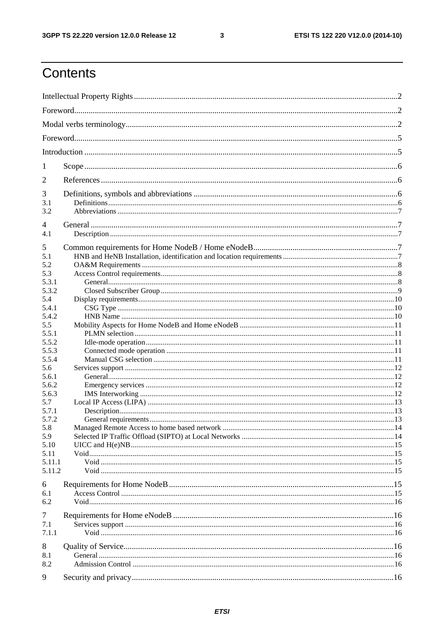$\mathbf{3}$ 

## Contents

| 1              |  |  |  |  |  |  |
|----------------|--|--|--|--|--|--|
| 2              |  |  |  |  |  |  |
|                |  |  |  |  |  |  |
| 3              |  |  |  |  |  |  |
| 3.1<br>3.2     |  |  |  |  |  |  |
|                |  |  |  |  |  |  |
| 4              |  |  |  |  |  |  |
| 4.1            |  |  |  |  |  |  |
| 5              |  |  |  |  |  |  |
| 5.1            |  |  |  |  |  |  |
| 5.2            |  |  |  |  |  |  |
| 5.3            |  |  |  |  |  |  |
| 5.3.1          |  |  |  |  |  |  |
| 5.3.2<br>5.4   |  |  |  |  |  |  |
| 5.4.1          |  |  |  |  |  |  |
| 5.4.2          |  |  |  |  |  |  |
| 5.5            |  |  |  |  |  |  |
| 5.5.1          |  |  |  |  |  |  |
| 5.5.2          |  |  |  |  |  |  |
| 5.5.3          |  |  |  |  |  |  |
| 5.5.4          |  |  |  |  |  |  |
| 5.6            |  |  |  |  |  |  |
| 5.6.1          |  |  |  |  |  |  |
| 5.6.2<br>5.6.3 |  |  |  |  |  |  |
| 5.7            |  |  |  |  |  |  |
| 5.7.1          |  |  |  |  |  |  |
| 5.7.2          |  |  |  |  |  |  |
| 5.8            |  |  |  |  |  |  |
| 5.9            |  |  |  |  |  |  |
| 5.10           |  |  |  |  |  |  |
| 5.11           |  |  |  |  |  |  |
| 5.11.1         |  |  |  |  |  |  |
| 5.11.2         |  |  |  |  |  |  |
| 6              |  |  |  |  |  |  |
| 6.1            |  |  |  |  |  |  |
| 6.2            |  |  |  |  |  |  |
| 7              |  |  |  |  |  |  |
| 7.1            |  |  |  |  |  |  |
| 7.1.1          |  |  |  |  |  |  |
| 8              |  |  |  |  |  |  |
| 8.1            |  |  |  |  |  |  |
| 8.2            |  |  |  |  |  |  |
|                |  |  |  |  |  |  |
| 9              |  |  |  |  |  |  |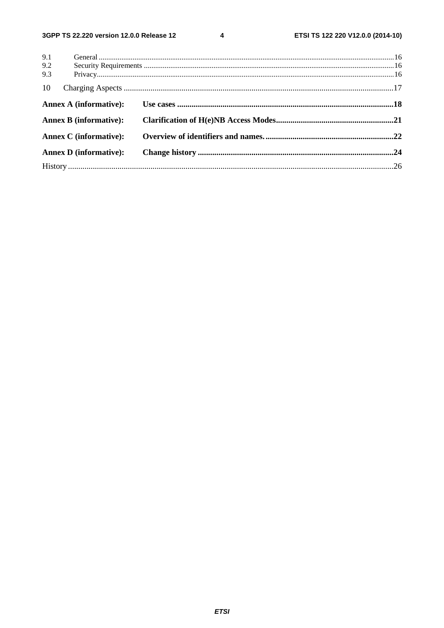$\overline{\mathbf{4}}$ 

| 9.1     |                               |  |
|---------|-------------------------------|--|
| $9.2\,$ |                               |  |
| 9.3     |                               |  |
| 10      |                               |  |
|         | Annex A (informative):        |  |
|         | <b>Annex B</b> (informative): |  |
|         | <b>Annex C</b> (informative): |  |
|         | <b>Annex D</b> (informative): |  |
|         |                               |  |
|         |                               |  |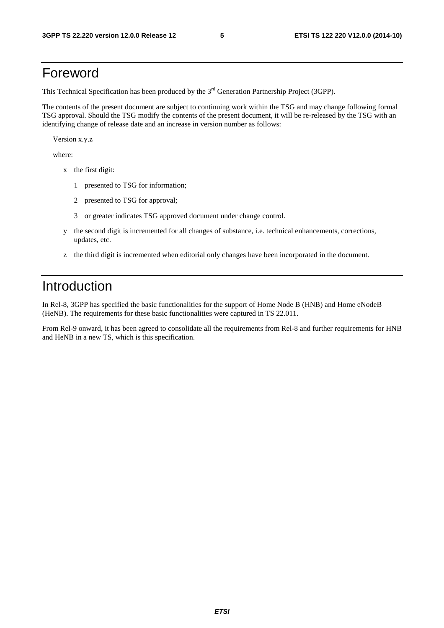## Foreword

This Technical Specification has been produced by the 3<sup>rd</sup> Generation Partnership Project (3GPP).

The contents of the present document are subject to continuing work within the TSG and may change following formal TSG approval. Should the TSG modify the contents of the present document, it will be re-released by the TSG with an identifying change of release date and an increase in version number as follows:

Version x.y.z

where:

- x the first digit:
	- 1 presented to TSG for information;
	- 2 presented to TSG for approval;
	- 3 or greater indicates TSG approved document under change control.
- y the second digit is incremented for all changes of substance, i.e. technical enhancements, corrections, updates, etc.
- z the third digit is incremented when editorial only changes have been incorporated in the document.

## Introduction

In Rel-8, 3GPP has specified the basic functionalities for the support of Home Node B (HNB) and Home eNodeB (HeNB). The requirements for these basic functionalities were captured in TS 22.011.

From Rel-9 onward, it has been agreed to consolidate all the requirements from Rel-8 and further requirements for HNB and HeNB in a new TS, which is this specification.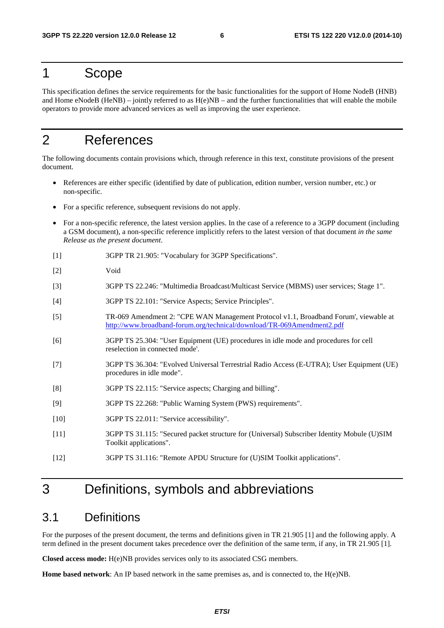## 1 Scope

This specification defines the service requirements for the basic functionalities for the support of Home NodeB (HNB) and Home eNodeB (HeNB) – jointly referred to as  $H(e)NB$  – and the further functionalities that will enable the mobile operators to provide more advanced services as well as improving the user experience.

## 2 References

The following documents contain provisions which, through reference in this text, constitute provisions of the present document.

- References are either specific (identified by date of publication, edition number, version number, etc.) or non-specific.
- For a specific reference, subsequent revisions do not apply.
- For a non-specific reference, the latest version applies. In the case of a reference to a 3GPP document (including a GSM document), a non-specific reference implicitly refers to the latest version of that document *in the same Release as the present document*.
- [1] 3GPP TR 21.905: "Vocabulary for 3GPP Specifications".
- [2] Void
- [3] 3GPP TS 22.246: "Multimedia Broadcast/Multicast Service (MBMS) user services; Stage 1".
- [4] 3GPP TS 22.101: "Service Aspects; Service Principles".
- [5] TR-069 Amendment 2: "CPE WAN Management Protocol v1.1, Broadband Forum', viewable at <http://www.broadband-forum.org/technical/download/TR-069Amendment2.pdf>
- [6] 3GPP TS 25.304: "User Equipment (UE) procedures in idle mode and procedures for cell reselection in connected mode'.
- [7] 3GPP TS 36.304: "Evolved Universal Terrestrial Radio Access (E-UTRA); User Equipment (UE) procedures in idle mode".
- [8] 3GPP TS 22.115: "Service aspects; Charging and billing".
- [9] 3GPP TS 22.268: "Public Warning System (PWS) requirements".
- [10] 3GPP TS 22.011: "Service accessibility".
- [11] 3GPP TS 31.115: "Secured packet structure for (Universal) Subscriber Identity Mobule (U)SIM Toolkit applications".
- [12] 3GPP TS 31.116: "Remote APDU Structure for (U)SIM Toolkit applications".

## 3 Definitions, symbols and abbreviations

### 3.1 Definitions

For the purposes of the present document, the terms and definitions given in TR 21.905 [1] and the following apply. A term defined in the present document takes precedence over the definition of the same term, if any, in TR 21.905 [1].

**Closed access mode:** H(e)NB provides services only to its associated CSG members.

**Home based network**: An IP based network in the same premises as, and is connected to, the H(e)NB.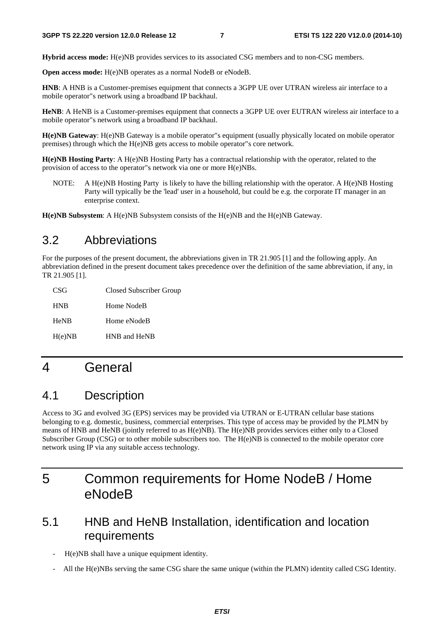**Hybrid access mode:** H(e)NB provides services to its associated CSG members and to non-CSG members.

**Open access mode:** H(e)NB operates as a normal NodeB or eNodeB.

**HNB**: A HNB is a Customer-premises equipment that connects a 3GPP UE over UTRAN wireless air interface to a mobile operator"s network using a broadband IP backhaul.

**HeNB**: A HeNB is a Customer-premises equipment that connects a 3GPP UE over EUTRAN wireless air interface to a mobile operator"s network using a broadband IP backhaul.

**H(e)NB Gateway**: H(e)NB Gateway is a mobile operator"s equipment (usually physically located on mobile operator premises) through which the H(e)NB gets access to mobile operator"s core network.

**H(e)NB Hosting Party**: A H(e)NB Hosting Party has a contractual relationship with the operator, related to the provision of access to the operator"s network via one or more H(e)NBs.

NOTE: A H(e)NB Hosting Party is likely to have the billing relationship with the operator. A H(e)NB Hosting Party will typically be the 'lead' user in a household, but could be e.g. the corporate IT manager in an enterprise context.

**H(e)NB Subsystem**: A H(e)NB Subsystem consists of the H(e)NB and the H(e)NB Gateway.

## 3.2 Abbreviations

For the purposes of the present document, the abbreviations given in TR 21.905 [1] and the following apply. An abbreviation defined in the present document takes precedence over the definition of the same abbreviation, if any, in TR 21.905 [1].

| CSG         | Closed Subscriber Group |
|-------------|-------------------------|
| <b>HNB</b>  | Home NodeB              |
| <b>HeNB</b> | Home eNodeB             |
| H(e)NB      | HNB and HeNB            |

## 4 General

## 4.1 Description

Access to 3G and evolved 3G (EPS) services may be provided via UTRAN or E-UTRAN cellular base stations belonging to e.g. domestic, business, commercial enterprises. This type of access may be provided by the PLMN by means of HNB and HeNB (jointly referred to as H(e)NB). The H(e)NB provides services either only to a Closed Subscriber Group (CSG) or to other mobile subscribers too. The H(e)NB is connected to the mobile operator core network using IP via any suitable access technology.

## 5 Common requirements for Home NodeB / Home eNodeB

## 5.1 HNB and HeNB Installation, identification and location requirements

- H(e)NB shall have a unique equipment identity.
- All the H(e)NBs serving the same CSG share the same unique (within the PLMN) identity called CSG Identity.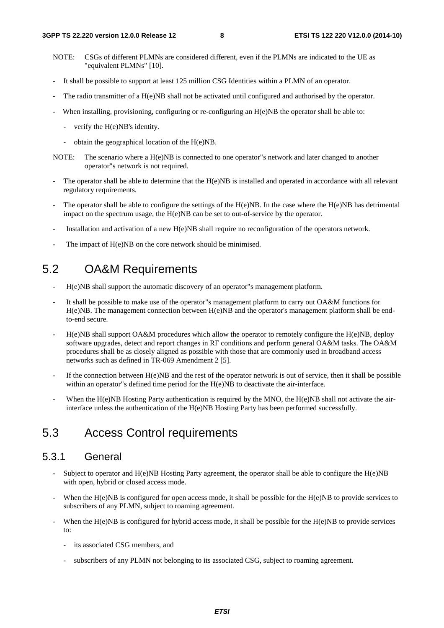- NOTE: CSGs of different PLMNs are considered different, even if the PLMNs are indicated to the UE as "equivalent PLMNs" [10].
- It shall be possible to support at least 125 million CSG Identities within a PLMN of an operator.
- The radio transmitter of a H(e)NB shall not be activated until configured and authorised by the operator.
- When installing, provisioning, configuring or re-configuring an  $H(e)NB$  the operator shall be able to:
	- verify the H(e)NB's identity.
	- obtain the geographical location of the H(e)NB.
- NOTE: The scenario where a H(e)NB is connected to one operator"s network and later changed to another operator"s network is not required.
- The operator shall be able to determine that the  $H(e)NB$  is installed and operated in accordance with all relevant regulatory requirements.
- The operator shall be able to configure the settings of the  $H(e)NB$ . In the case where the  $H(e)NB$  has detrimental impact on the spectrum usage, the H(e)NB can be set to out-of-service by the operator.
- Installation and activation of a new H(e)NB shall require no reconfiguration of the operators network.
- The impact of H(e)NB on the core network should be minimised.

## 5.2 OA&M Requirements

- H(e)NB shall support the automatic discovery of an operator"s management platform.
- It shall be possible to make use of the operator"s management platform to carry out OA&M functions for H(e)NB. The management connection between H(e)NB and the operator's management platform shall be endto-end secure.
- $H(e)NB$  shall support OA&M procedures which allow the operator to remotely configure the  $H(e)NB$ , deploy software upgrades, detect and report changes in RF conditions and perform general OA&M tasks. The OA&M procedures shall be as closely aligned as possible with those that are commonly used in broadband access networks such as defined in TR-069 Amendment 2 [5].
- If the connection between  $H(e)NB$  and the rest of the operator network is out of service, then it shall be possible within an operator"s defined time period for the H(e)NB to deactivate the air-interface.
- When the  $H(e)NB$  Hosting Party authentication is required by the MNO, the  $H(e)NB$  shall not activate the airinterface unless the authentication of the H(e)NB Hosting Party has been performed successfully.

## 5.3 Access Control requirements

### 5.3.1 General

- Subject to operator and  $H(e)NB$  Hosting Party agreement, the operator shall be able to configure the  $H(e)NB$ with open, hybrid or closed access mode.
- When the H(e)NB is configured for open access mode, it shall be possible for the H(e)NB to provide services to subscribers of any PLMN, subject to roaming agreement.
- When the H(e)NB is configured for hybrid access mode, it shall be possible for the H(e)NB to provide services to:
	- its associated CSG members, and
	- subscribers of any PLMN not belonging to its associated CSG, subject to roaming agreement.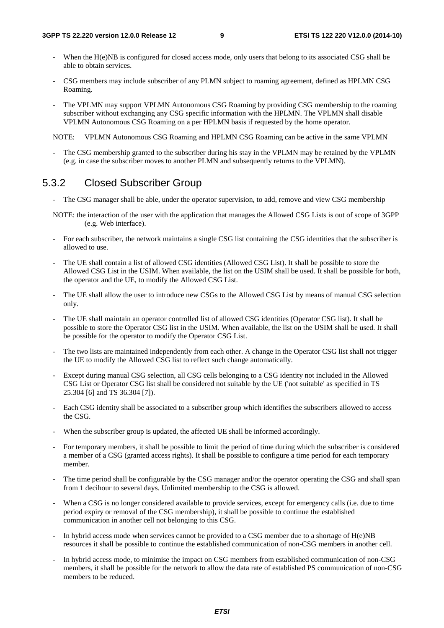- When the H(e)NB is configured for closed access mode, only users that belong to its associated CSG shall be able to obtain services.
- CSG members may include subscriber of any PLMN subject to roaming agreement, defined as HPLMN CSG Roaming.
- The VPLMN may support VPLMN Autonomous CSG Roaming by providing CSG membership to the roaming subscriber without exchanging any CSG specific information with the HPLMN. The VPLMN shall disable VPLMN Autonomous CSG Roaming on a per HPLMN basis if requested by the home operator.

NOTE: VPLMN Autonomous CSG Roaming and HPLMN CSG Roaming can be active in the same VPLMN

- The CSG membership granted to the subscriber during his stay in the VPLMN may be retained by the VPLMN (e.g. in case the subscriber moves to another PLMN and subsequently returns to the VPLMN).

### 5.3.2 Closed Subscriber Group

- The CSG manager shall be able, under the operator supervision, to add, remove and view CSG membership
- NOTE: the interaction of the user with the application that manages the Allowed CSG Lists is out of scope of 3GPP (e.g. Web interface).
- For each subscriber, the network maintains a single CSG list containing the CSG identities that the subscriber is allowed to use.
- The UE shall contain a list of allowed CSG identities (Allowed CSG List). It shall be possible to store the Allowed CSG List in the USIM. When available, the list on the USIM shall be used. It shall be possible for both, the operator and the UE, to modify the Allowed CSG List.
- The UE shall allow the user to introduce new CSGs to the Allowed CSG List by means of manual CSG selection only.
- The UE shall maintain an operator controlled list of allowed CSG identities (Operator CSG list). It shall be possible to store the Operator CSG list in the USIM. When available, the list on the USIM shall be used. It shall be possible for the operator to modify the Operator CSG List.
- The two lists are maintained independently from each other. A change in the Operator CSG list shall not trigger the UE to modify the Allowed CSG list to reflect such change automatically.
- Except during manual CSG selection, all CSG cells belonging to a CSG identity not included in the Allowed CSG List or Operator CSG list shall be considered not suitable by the UE ('not suitable' as specified in TS 25.304 [6] and TS 36.304 [7]).
- Each CSG identity shall be associated to a subscriber group which identifies the subscribers allowed to access the CSG.
- When the subscriber group is updated, the affected UE shall be informed accordingly.
- For temporary members, it shall be possible to limit the period of time during which the subscriber is considered a member of a CSG (granted access rights). It shall be possible to configure a time period for each temporary member.
- The time period shall be configurable by the CSG manager and/or the operator operating the CSG and shall span from 1 decihour to several days. Unlimited membership to the CSG is allowed.
- When a CSG is no longer considered available to provide services, except for emergency calls (i.e. due to time period expiry or removal of the CSG membership), it shall be possible to continue the established communication in another cell not belonging to this CSG.
- In hybrid access mode when services cannot be provided to a CSG member due to a shortage of H(e)NB resources it shall be possible to continue the established communication of non-CSG members in another cell.
- In hybrid access mode, to minimise the impact on CSG members from established communication of non-CSG members, it shall be possible for the network to allow the data rate of established PS communication of non-CSG members to be reduced.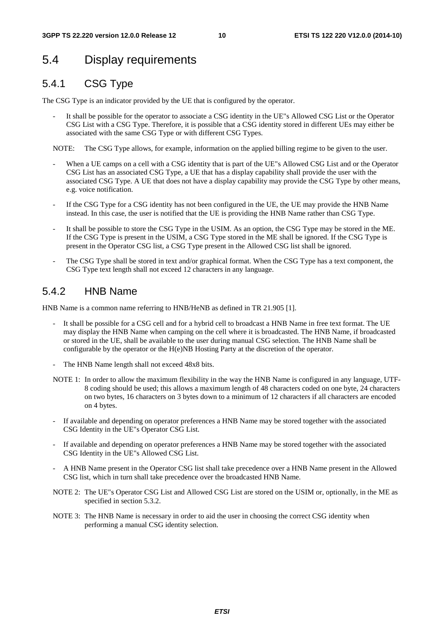## 5.4 Display requirements

### 5.4.1 CSG Type

The CSG Type is an indicator provided by the UE that is configured by the operator.

It shall be possible for the operator to associate a CSG identity in the UE"s Allowed CSG List or the Operator CSG List with a CSG Type. Therefore, it is possible that a CSG identity stored in different UEs may either be associated with the same CSG Type or with different CSG Types.

NOTE: The CSG Type allows, for example, information on the applied billing regime to be given to the user.

- When a UE camps on a cell with a CSG identity that is part of the UE"s Allowed CSG List and or the Operator CSG List has an associated CSG Type, a UE that has a display capability shall provide the user with the associated CSG Type. A UE that does not have a display capability may provide the CSG Type by other means, e.g. voice notification.
- If the CSG Type for a CSG identity has not been configured in the UE, the UE may provide the HNB Name instead. In this case, the user is notified that the UE is providing the HNB Name rather than CSG Type.
- It shall be possible to store the CSG Type in the USIM. As an option, the CSG Type may be stored in the ME. If the CSG Type is present in the USIM, a CSG Type stored in the ME shall be ignored. If the CSG Type is present in the Operator CSG list, a CSG Type present in the Allowed CSG list shall be ignored.
- The CSG Type shall be stored in text and/or graphical format. When the CSG Type has a text component, the CSG Type text length shall not exceed 12 characters in any language.

### 5.4.2 HNB Name

HNB Name is a common name referring to HNB/HeNB as defined in TR 21.905 [1].

- It shall be possible for a CSG cell and for a hybrid cell to broadcast a HNB Name in free text format. The UE may display the HNB Name when camping on the cell where it is broadcasted. The HNB Name, if broadcasted or stored in the UE, shall be available to the user during manual CSG selection. The HNB Name shall be configurable by the operator or the H(e)NB Hosting Party at the discretion of the operator.
- The HNB Name length shall not exceed 48x8 bits.
- NOTE 1: In order to allow the maximum flexibility in the way the HNB Name is configured in any language, UTF-8 coding should be used; this allows a maximum length of 48 characters coded on one byte, 24 characters on two bytes, 16 characters on 3 bytes down to a minimum of 12 characters if all characters are encoded on 4 bytes.
- If available and depending on operator preferences a HNB Name may be stored together with the associated CSG Identity in the UE"s Operator CSG List.
- If available and depending on operator preferences a HNB Name may be stored together with the associated CSG Identity in the UE"s Allowed CSG List.
- A HNB Name present in the Operator CSG list shall take precedence over a HNB Name present in the Allowed CSG list, which in turn shall take precedence over the broadcasted HNB Name.
- NOTE 2: The UE"s Operator CSG List and Allowed CSG List are stored on the USIM or, optionally, in the ME as specified in section 5.3.2.
- NOTE 3: The HNB Name is necessary in order to aid the user in choosing the correct CSG identity when performing a manual CSG identity selection.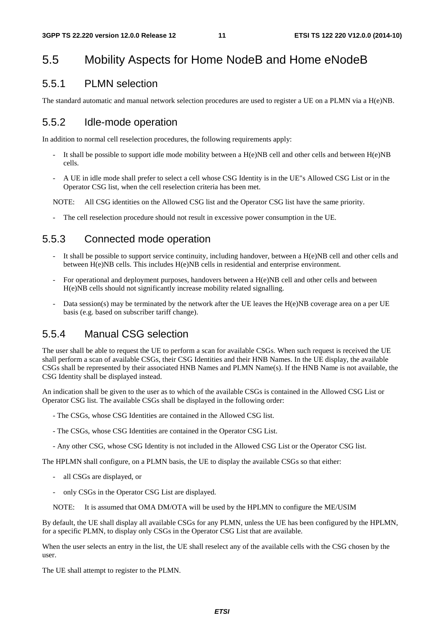## 5.5 Mobility Aspects for Home NodeB and Home eNodeB

### 5.5.1 PLMN selection

The standard automatic and manual network selection procedures are used to register a UE on a PLMN via a H(e)NB.

### 5.5.2 Idle-mode operation

In addition to normal cell reselection procedures, the following requirements apply:

- It shall be possible to support idle mode mobility between a  $H(e)NB$  cell and other cells and between  $H(e)NB$ cells.
- A UE in idle mode shall prefer to select a cell whose CSG Identity is in the UE"s Allowed CSG List or in the Operator CSG list, when the cell reselection criteria has been met.

NOTE: All CSG identities on the Allowed CSG list and the Operator CSG list have the same priority.

The cell reselection procedure should not result in excessive power consumption in the UE.

### 5.5.3 Connected mode operation

- It shall be possible to support service continuity, including handover, between a  $H(e)NB$  cell and other cells and between H(e)NB cells. This includes H(e)NB cells in residential and enterprise environment.
- For operational and deployment purposes, handovers between a H(e)NB cell and other cells and between H(e)NB cells should not significantly increase mobility related signalling.
- Data session(s) may be terminated by the network after the UE leaves the H(e)NB coverage area on a per UE basis (e.g. based on subscriber tariff change).

### 5.5.4 Manual CSG selection

The user shall be able to request the UE to perform a scan for available CSGs. When such request is received the UE shall perform a scan of available CSGs, their CSG Identities and their HNB Names. In the UE display, the available CSGs shall be represented by their associated HNB Names and PLMN Name(s). If the HNB Name is not available, the CSG Identity shall be displayed instead.

An indication shall be given to the user as to which of the available CSGs is contained in the Allowed CSG List or Operator CSG list. The available CSGs shall be displayed in the following order:

- The CSGs, whose CSG Identities are contained in the Allowed CSG list.
- The CSGs, whose CSG Identities are contained in the Operator CSG List.
- Any other CSG, whose CSG Identity is not included in the Allowed CSG List or the Operator CSG list.

The HPLMN shall configure, on a PLMN basis, the UE to display the available CSGs so that either:

- all CSGs are displayed, or
- only CSGs in the Operator CSG List are displayed.
- NOTE: It is assumed that OMA DM/OTA will be used by the HPLMN to configure the ME/USIM

By default, the UE shall display all available CSGs for any PLMN, unless the UE has been configured by the HPLMN, for a specific PLMN, to display only CSGs in the Operator CSG List that are available.

When the user selects an entry in the list, the UE shall reselect any of the available cells with the CSG chosen by the user.

The UE shall attempt to register to the PLMN.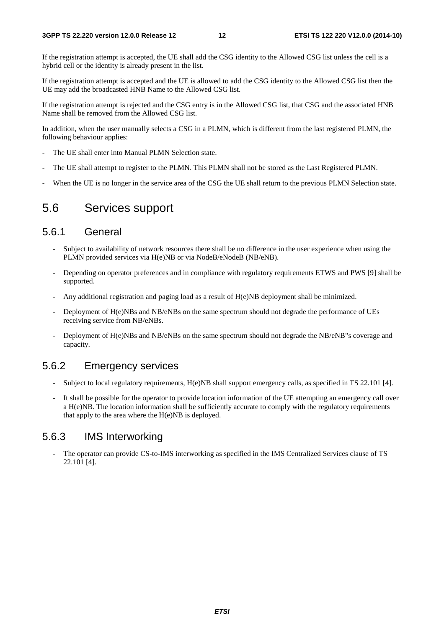If the registration attempt is accepted, the UE shall add the CSG identity to the Allowed CSG list unless the cell is a hybrid cell or the identity is already present in the list.

If the registration attempt is accepted and the UE is allowed to add the CSG identity to the Allowed CSG list then the UE may add the broadcasted HNB Name to the Allowed CSG list.

If the registration attempt is rejected and the CSG entry is in the Allowed CSG list, that CSG and the associated HNB Name shall be removed from the Allowed CSG list.

In addition, when the user manually selects a CSG in a PLMN, which is different from the last registered PLMN, the following behaviour applies:

- The UE shall enter into Manual PLMN Selection state.
- The UE shall attempt to register to the PLMN. This PLMN shall not be stored as the Last Registered PLMN.
- When the UE is no longer in the service area of the CSG the UE shall return to the previous PLMN Selection state.

### 5.6 Services support

### 5.6.1 General

- Subject to availability of network resources there shall be no difference in the user experience when using the PLMN provided services via H(e)NB or via NodeB/eNodeB (NB/eNB).
- Depending on operator preferences and in compliance with regulatory requirements ETWS and PWS [9] shall be supported.
- Any additional registration and paging load as a result of  $H(e)NB$  deployment shall be minimized.
- Deployment of H(e)NBs and NB/eNBs on the same spectrum should not degrade the performance of UEs receiving service from NB/eNBs.
- Deployment of H(e)NBs and NB/eNBs on the same spectrum should not degrade the NB/eNB"s coverage and capacity.

### 5.6.2 Emergency services

- Subject to local regulatory requirements, H(e)NB shall support emergency calls, as specified in TS 22.101 [4].
- It shall be possible for the operator to provide location information of the UE attempting an emergency call over a H(e)NB. The location information shall be sufficiently accurate to comply with the regulatory requirements that apply to the area where the  $H(e)NB$  is deployed.

### 5.6.3 IMS Interworking

The operator can provide CS-to-IMS interworking as specified in the IMS Centralized Services clause of TS 22.101 [4].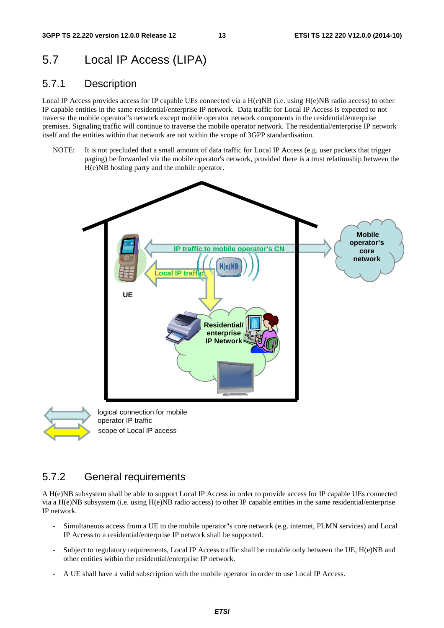## 5.7 Local IP Access (LIPA)

### 5.7.1 Description

Local IP Access provides access for IP capable UEs connected via a H(e)NB (i.e. using H(e)NB radio access) to other IP capable entities in the same residential/enterprise IP network. Data traffic for Local IP Access is expected to not traverse the mobile operator"s network except mobile operator network components in the residential/enterprise premises. Signaling traffic will continue to traverse the mobile operator network. The residential/enterprise IP network itself and the entities within that network are not within the scope of 3GPP standardisation.

NOTE: It is not precluded that a small amount of data traffic for Local IP Access (e.g. user packets that trigger paging) be forwarded via the mobile operator's network, provided there is a trust relationship between the H(e)NB hosting party and the mobile operator.





scope of Local IP access

### 5.7.2 General requirements

A H(e)NB subsystem shall be able to support Local IP Access in order to provide access for IP capable UEs connected via a H(e)NB subsystem (i.e. using H(e)NB radio access) to other IP capable entities in the same residential/enterprise IP network.

- Simultaneous access from a UE to the mobile operator"s core network (e.g. internet, PLMN services) and Local IP Access to a residential/enterprise IP network shall be supported.
- Subject to regulatory requirements, Local IP Access traffic shall be routable only between the UE, H(e)NB and other entities within the residential/enterprise IP network.
- A UE shall have a valid subscription with the mobile operator in order to use Local IP Access.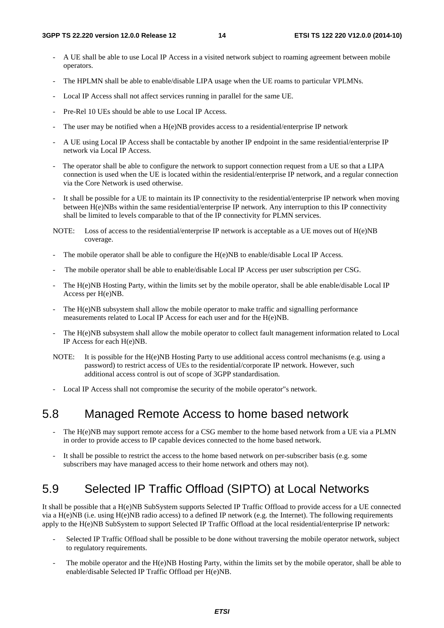- A UE shall be able to use Local IP Access in a visited network subject to roaming agreement between mobile operators.
- The HPLMN shall be able to enable/disable LIPA usage when the UE roams to particular VPLMNs.
- Local IP Access shall not affect services running in parallel for the same UE.
- Pre-Rel 10 UEs should be able to use Local IP Access.
- The user may be notified when a  $H(e)NB$  provides access to a residential/enterprise IP network
- A UE using Local IP Access shall be contactable by another IP endpoint in the same residential/enterprise IP network via Local IP Access.
- The operator shall be able to configure the network to support connection request from a UE so that a LIPA connection is used when the UE is located within the residential/enterprise IP network, and a regular connection via the Core Network is used otherwise.
- It shall be possible for a UE to maintain its IP connectivity to the residential/enterprise IP network when moving between H(e)NBs within the same residential/enterprise IP network. Any interruption to this IP connectivity shall be limited to levels comparable to that of the IP connectivity for PLMN services.
- NOTE: Loss of access to the residential/enterprise IP network is acceptable as a UE moves out of H(e)NB coverage.
- The mobile operator shall be able to configure the  $H(e)NB$  to enable/disable Local IP Access.
- The mobile operator shall be able to enable/disable Local IP Access per user subscription per CSG.
- The H(e)NB Hosting Party, within the limits set by the mobile operator, shall be able enable/disable Local IP Access per H(e)NB.
- The H(e)NB subsystem shall allow the mobile operator to make traffic and signalling performance measurements related to Local IP Access for each user and for the H(e)NB.
- The H(e)NB subsystem shall allow the mobile operator to collect fault management information related to Local IP Access for each H(e)NB.
- NOTE: It is possible for the H(e)NB Hosting Party to use additional access control mechanisms (e.g. using a password) to restrict access of UEs to the residential/corporate IP network. However, such additional access control is out of scope of 3GPP standardisation.
- Local IP Access shall not compromise the security of the mobile operator"s network.

## 5.8 Managed Remote Access to home based network

- The H(e)NB may support remote access for a CSG member to the home based network from a UE via a PLMN in order to provide access to IP capable devices connected to the home based network.
- It shall be possible to restrict the access to the home based network on per-subscriber basis (e.g. some subscribers may have managed access to their home network and others may not).

## 5.9 Selected IP Traffic Offload (SIPTO) at Local Networks

It shall be possible that a H(e)NB SubSystem supports Selected IP Traffic Offload to provide access for a UE connected via a H(e)NB (i.e. using H(e)NB radio access) to a defined IP network (e.g. the Internet). The following requirements apply to the H(e)NB SubSystem to support Selected IP Traffic Offload at the local residential/enterprise IP network:

- Selected IP Traffic Offload shall be possible to be done without traversing the mobile operator network, subject to regulatory requirements.
- The mobile operator and the  $H(e)NB$  Hosting Party, within the limits set by the mobile operator, shall be able to enable/disable Selected IP Traffic Offload per H(e)NB.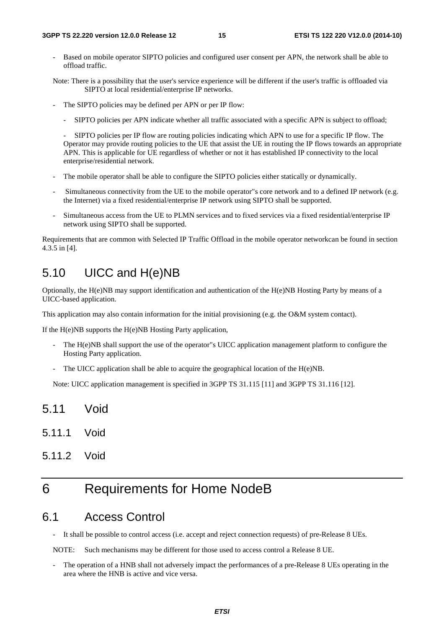Based on mobile operator SIPTO policies and configured user consent per APN, the network shall be able to offload traffic.

Note: There is a possibility that the user's service experience will be different if the user's traffic is offloaded via SIPTO at local residential/enterprise IP networks.

- The SIPTO policies may be defined per APN or per IP flow:
	- SIPTO policies per APN indicate whether all traffic associated with a specific APN is subject to offload;

 - SIPTO policies per IP flow are routing policies indicating which APN to use for a specific IP flow. The Operator may provide routing policies to the UE that assist the UE in routing the IP flows towards an appropriate APN. This is applicable for UE regardless of whether or not it has established IP connectivity to the local enterprise/residential network.

- The mobile operator shall be able to configure the SIPTO policies either statically or dynamically.
- Simultaneous connectivity from the UE to the mobile operator"s core network and to a defined IP network (e.g. the Internet) via a fixed residential/enterprise IP network using SIPTO shall be supported.
- Simultaneous access from the UE to PLMN services and to fixed services via a fixed residential/enterprise IP network using SIPTO shall be supported.

Requirements that are common with Selected IP Traffic Offload in the mobile operator networkcan be found in section 4.3.5 in [4].

## 5.10 UICC and H(e)NB

Optionally, the H(e)NB may support identification and authentication of the H(e)NB Hosting Party by means of a UICC-based application.

This application may also contain information for the initial provisioning (e.g. the O&M system contact).

If the H(e)NB supports the H(e)NB Hosting Party application,

- The H(e)NB shall support the use of the operator"s UICC application management platform to configure the Hosting Party application.
- The UICC application shall be able to acquire the geographical location of the  $H(e)NB$ .

Note: UICC application management is specified in 3GPP TS 31.115 [11] and 3GPP TS 31.116 [12].

- 5.11 Void
- 5.11.1 Void
- 5.11.2 Void

## 6 Requirements for Home NodeB

### 6.1 Access Control

It shall be possible to control access (i.e. accept and reject connection requests) of pre-Release 8 UEs.

NOTE: Such mechanisms may be different for those used to access control a Release 8 UE.

The operation of a HNB shall not adversely impact the performances of a pre-Release 8 UEs operating in the area where the HNB is active and vice versa.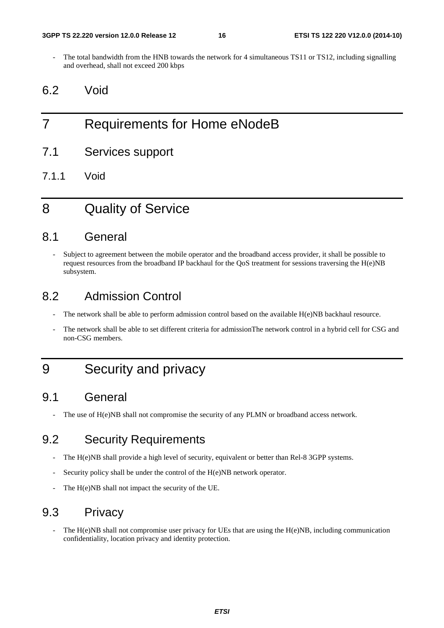The total bandwidth from the HNB towards the network for 4 simultaneous TS11 or TS12, including signalling and overhead, shall not exceed 200 kbps

## 6.2 Void

## 7 Requirements for Home eNodeB

- 7.1 Services support
- 7.1.1 Void

## 8 Quality of Service

### 8.1 General

Subject to agreement between the mobile operator and the broadband access provider, it shall be possible to request resources from the broadband IP backhaul for the QoS treatment for sessions traversing the  $H(e)NB$ subsystem.

### 8.2 Admission Control

- The network shall be able to perform admission control based on the available H(e)NB backhaul resource.
- The network shall be able to set different criteria for admissionThe network control in a hybrid cell for CSG and non-CSG members.

## 9 Security and privacy

## 9.1 General

The use of  $H(e)NB$  shall not compromise the security of any PLMN or broadband access network.

## 9.2 Security Requirements

- The H(e)NB shall provide a high level of security, equivalent or better than Rel-8 3GPP systems.
- Security policy shall be under the control of the H(e)NB network operator.
- The H(e)NB shall not impact the security of the UE.

## 9.3 Privacy

The  $H(e)NB$  shall not compromise user privacy for UEs that are using the  $H(e)NB$ , including communication confidentiality, location privacy and identity protection.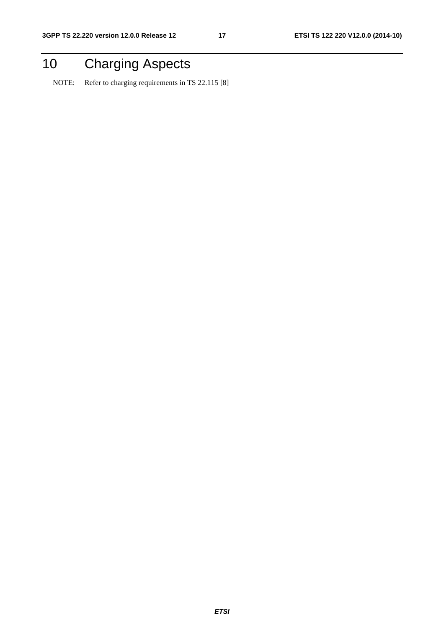## 10 Charging Aspects

NOTE: Refer to charging requirements in TS 22.115 [8]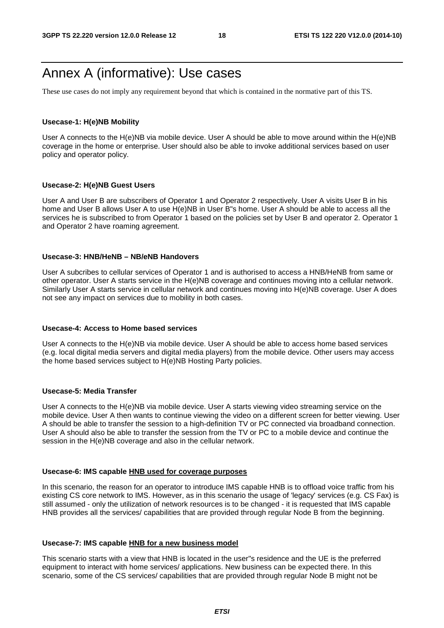## Annex A (informative): Use cases

These use cases do not imply any requirement beyond that which is contained in the normative part of this TS.

#### **Usecase-1: H(e)NB Mobility**

User A connects to the H(e)NB via mobile device. User A should be able to move around within the H(e)NB coverage in the home or enterprise. User should also be able to invoke additional services based on user policy and operator policy.

#### **Usecase-2: H(e)NB Guest Users**

User A and User B are subscribers of Operator 1 and Operator 2 respectively. User A visits User B in his home and User B allows User A to use H(e)NB in User B"s home. User A should be able to access all the services he is subscribed to from Operator 1 based on the policies set by User B and operator 2. Operator 1 and Operator 2 have roaming agreement.

### **Usecase-3: HNB/HeNB – NB/eNB Handovers**

User A subcribes to cellular services of Operator 1 and is authorised to access a HNB/HeNB from same or other operator. User A starts service in the H(e)NB coverage and continues moving into a cellular network. Similarly User A starts service in cellular network and continues moving into H(e)NB coverage. User A does not see any impact on services due to mobility in both cases.

#### **Usecase-4: Access to Home based services**

User A connects to the H(e)NB via mobile device. User A should be able to access home based services (e.g. local digital media servers and digital media players) from the mobile device. Other users may access the home based services subject to H(e)NB Hosting Party policies.

### **Usecase-5: Media Transfer**

User A connects to the H(e)NB via mobile device. User A starts viewing video streaming service on the mobile device. User A then wants to continue viewing the video on a different screen for better viewing. User A should be able to transfer the session to a high-definition TV or PC connected via broadband connection. User A should also be able to transfer the session from the TV or PC to a mobile device and continue the session in the H(e)NB coverage and also in the cellular network.

#### **Usecase-6: IMS capable HNB used for coverage purposes**

In this scenario, the reason for an operator to introduce IMS capable HNB is to offload voice traffic from his existing CS core network to IMS. However, as in this scenario the usage of 'legacy' services (e.g. CS Fax) is still assumed - only the utilization of network resources is to be changed - it is requested that IMS capable HNB provides all the services/ capabilities that are provided through regular Node B from the beginning.

#### **Usecase-7: IMS capable HNB for a new business model**

This scenario starts with a view that HNB is located in the user"s residence and the UE is the preferred equipment to interact with home services/ applications. New business can be expected there. In this scenario, some of the CS services/ capabilities that are provided through regular Node B might not be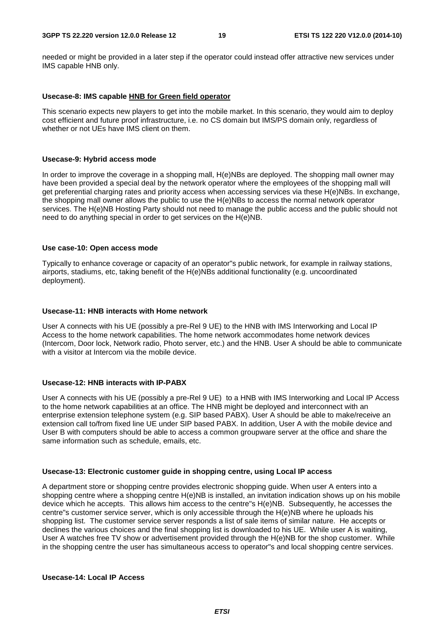needed or might be provided in a later step if the operator could instead offer attractive new services under IMS capable HNB only.

#### **Usecase-8: IMS capable HNB for Green field operator**

This scenario expects new players to get into the mobile market. In this scenario, they would aim to deploy cost efficient and future proof infrastructure, i.e. no CS domain but IMS/PS domain only, regardless of whether or not UEs have IMS client on them.

#### **Usecase-9: Hybrid access mode**

In order to improve the coverage in a shopping mall, H(e)NBs are deployed. The shopping mall owner may have been provided a special deal by the network operator where the employees of the shopping mall will get preferential charging rates and priority access when accessing services via these H(e)NBs. In exchange, the shopping mall owner allows the public to use the H(e)NBs to access the normal network operator services. The H(e)NB Hosting Party should not need to manage the public access and the public should not need to do anything special in order to get services on the H(e)NB.

#### **Use case-10: Open access mode**

Typically to enhance coverage or capacity of an operator"s public network, for example in railway stations, airports, stadiums, etc, taking benefit of the H(e)NBs additional functionality (e.g. uncoordinated deployment).

#### **Usecase-11: HNB interacts with Home network**

User A connects with his UE (possibly a pre-Rel 9 UE) to the HNB with IMS Interworking and Local IP Access to the home network capabilities. The home network accommodates home network devices (Intercom, Door lock, Network radio, Photo server, etc.) and the HNB. User A should be able to communicate with a visitor at Intercom via the mobile device.

#### **Usecase-12: HNB interacts with IP-PABX**

User A connects with his UE (possibly a pre-Rel 9 UE) to a HNB with IMS Interworking and Local IP Access to the home network capabilities at an office. The HNB might be deployed and interconnect with an enterprise extension telephone system (e.g. SIP based PABX). User A should be able to make/receive an extension call to/from fixed line UE under SIP based PABX. In addition, User A with the mobile device and User B with computers should be able to access a common groupware server at the office and share the same information such as schedule, emails, etc.

#### **Usecase-13: Electronic customer guide in shopping centre, using Local IP access**

A department store or shopping centre provides electronic shopping guide. When user A enters into a shopping centre where a shopping centre H(e)NB is installed, an invitation indication shows up on his mobile device which he accepts. This allows him access to the centre"s H(e)NB. Subsequently, he accesses the centre"s customer service server, which is only accessible through the H(e)NB where he uploads his shopping list. The customer service server responds a list of sale items of similar nature. He accepts or declines the various choices and the final shopping list is downloaded to his UE. While user A is waiting, User A watches free TV show or advertisement provided through the H(e)NB for the shop customer. While in the shopping centre the user has simultaneous access to operator"s and local shopping centre services.

#### **Usecase-14: Local IP Access**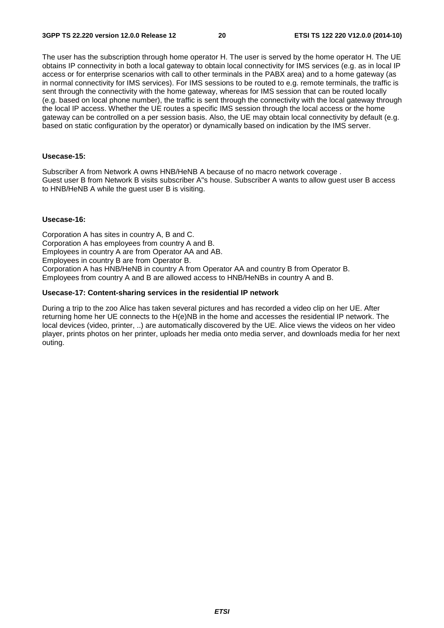The user has the subscription through home operator H. The user is served by the home operator H. The UE obtains IP connectivity in both a local gateway to obtain local connectivity for IMS services (e.g. as in local IP access or for enterprise scenarios with call to other terminals in the PABX area) and to a home gateway (as in normal connectivity for IMS services). For IMS sessions to be routed to e.g. remote terminals, the traffic is sent through the connectivity with the home gateway, whereas for IMS session that can be routed locally (e.g. based on local phone number), the traffic is sent through the connectivity with the local gateway through the local IP access. Whether the UE routes a specific IMS session through the local access or the home gateway can be controlled on a per session basis. Also, the UE may obtain local connectivity by default (e.g. based on static configuration by the operator) or dynamically based on indication by the IMS server.

### **Usecase-15:**

Subscriber A from Network A owns HNB/HeNB A because of no macro network coverage . Guest user B from Network B visits subscriber A"s house. Subscriber A wants to allow guest user B access to HNB/HeNB A while the guest user B is visiting.

#### **Usecase-16:**

Corporation A has sites in country A, B and C. Corporation A has employees from country A and B. Employees in country A are from Operator AA and AB. Employees in country B are from Operator B. Corporation A has HNB/HeNB in country A from Operator AA and country B from Operator B. Employees from country A and B are allowed access to HNB/HeNBs in country A and B.

#### **Usecase-17: Content-sharing services in the residential IP network**

During a trip to the zoo Alice has taken several pictures and has recorded a video clip on her UE. After returning home her UE connects to the H(e)NB in the home and accesses the residential IP network. The local devices (video, printer, ..) are automatically discovered by the UE. Alice views the videos on her video player, prints photos on her printer, uploads her media onto media server, and downloads media for her next outing.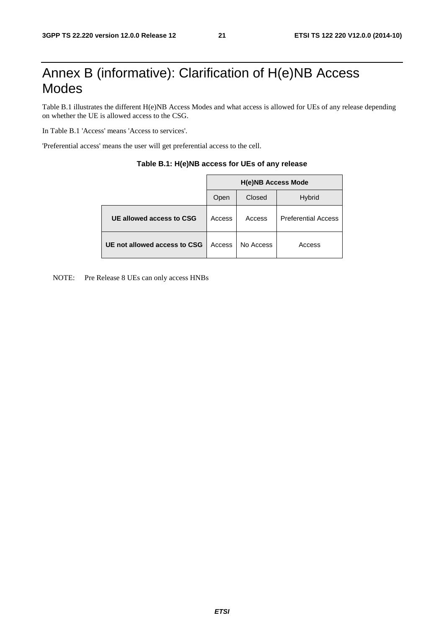## Annex B (informative): Clarification of H(e)NB Access Modes

Table B.1 illustrates the different H(e)NB Access Modes and what access is allowed for UEs of any release depending on whether the UE is allowed access to the CSG.

In Table B.1 'Access' means 'Access to services'.

'Preferential access' means the user will get preferential access to the cell.

|                              | <b>H(e)NB Access Mode</b> |           |                            |  |  |  |  |
|------------------------------|---------------------------|-----------|----------------------------|--|--|--|--|
|                              | Open                      | Closed    | <b>Hybrid</b>              |  |  |  |  |
| UE allowed access to CSG     | Access                    | Access    | <b>Preferential Access</b> |  |  |  |  |
| UE not allowed access to CSG | Access                    | No Access | Access                     |  |  |  |  |

| Table B.1: H(e)NB access for UEs of any release |  |  |
|-------------------------------------------------|--|--|
|-------------------------------------------------|--|--|

NOTE: Pre Release 8 UEs can only access HNBs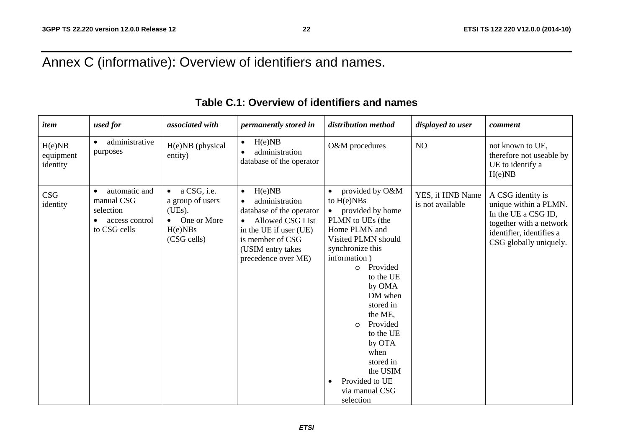## Annex C (informative): Overview of identifiers and names.

| item                            | used for                                                                                | associated with                                                                                              | permanently stored in                                                                                                                                                             | distribution method                                                                                                                                                                                                                                                                                                                                                   | displayed to user                    | comment                                                                                                                                            |
|---------------------------------|-----------------------------------------------------------------------------------------|--------------------------------------------------------------------------------------------------------------|-----------------------------------------------------------------------------------------------------------------------------------------------------------------------------------|-----------------------------------------------------------------------------------------------------------------------------------------------------------------------------------------------------------------------------------------------------------------------------------------------------------------------------------------------------------------------|--------------------------------------|----------------------------------------------------------------------------------------------------------------------------------------------------|
| H(e)NB<br>equipment<br>identity | administrative<br>$\bullet$<br>purposes                                                 | H(e)NB (physical<br>entity)                                                                                  | H(e)NB<br>$\bullet$<br>administration<br>$\bullet$<br>database of the operator                                                                                                    | O&M procedures                                                                                                                                                                                                                                                                                                                                                        | NO                                   | not known to UE,<br>therefore not useable by<br>UE to identify a<br>H(e)NB                                                                         |
| <b>CSG</b><br>identity          | automatic and<br>manual CSG<br>selection<br>access control<br>$\bullet$<br>to CSG cells | a CSG, i.e.<br>$\bullet$<br>a group of users<br>(UEs).<br>One or More<br>$\bullet$<br>H(e)NBs<br>(CSG cells) | H(e)NB<br>$\bullet$<br>administration<br>database of the operator<br>• Allowed CSG List<br>in the UE if user (UE)<br>is member of CSG<br>(USIM entry takes<br>precedence over ME) | provided by O&M<br>to $H(e)NBs$<br>provided by home<br>PLMN to UEs (the<br>Home PLMN and<br>Visited PLMN should<br>synchronize this<br>information)<br>Provided<br>$\circ$<br>to the UE<br>by OMA<br>DM when<br>stored in<br>the ME,<br>Provided<br>$\Omega$<br>to the UE<br>by OTA<br>when<br>stored in<br>the USIM<br>Provided to UE<br>via manual CSG<br>selection | YES, if HNB Name<br>is not available | A CSG identity is<br>unique within a PLMN.<br>In the UE a CSG ID,<br>together with a network<br>identifier, identifies a<br>CSG globally uniquely. |

## **Table C.1: Overview of identifiers and names**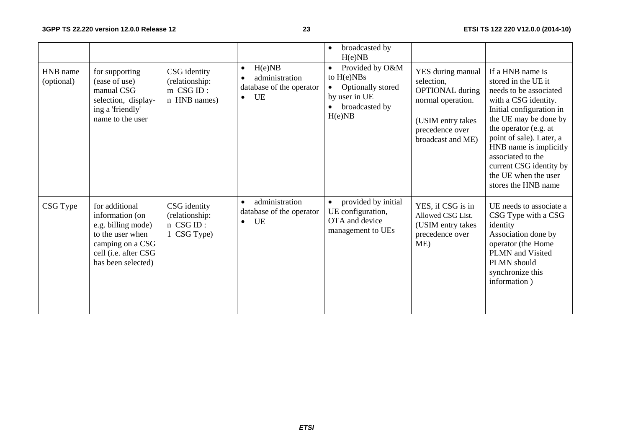|                        |                                                                                                                                               |                                                             |                                                                                      | broadcasted by<br>$\bullet$<br>H(e)NB                                                                          |                                                                                                                                             |                                                                                                                                                                                                                                                                                                                              |
|------------------------|-----------------------------------------------------------------------------------------------------------------------------------------------|-------------------------------------------------------------|--------------------------------------------------------------------------------------|----------------------------------------------------------------------------------------------------------------|---------------------------------------------------------------------------------------------------------------------------------------------|------------------------------------------------------------------------------------------------------------------------------------------------------------------------------------------------------------------------------------------------------------------------------------------------------------------------------|
| HNB name<br>(optional) | for supporting<br>(ease of use)<br>manual CSG<br>selection, display-<br>ing a 'friendly'<br>name to the user                                  | CSG identity<br>(relationship:<br>m CSG ID:<br>n HNB names) | H(e)NB<br>$\bullet$<br>administration<br>database of the operator<br>UE<br>$\bullet$ | Provided by O&M<br>$\bullet$<br>to $H(e)NBs$<br>Optionally stored<br>by user in UE<br>broadcasted by<br>H(e)NB | YES during manual<br>selection,<br><b>OPTIONAL</b> during<br>normal operation.<br>(USIM entry takes<br>precedence over<br>broadcast and ME) | If a HNB name is<br>stored in the UE it<br>needs to be associated<br>with a CSG identity.<br>Initial configuration in<br>the UE may be done by<br>the operator (e.g. at<br>point of sale). Later, a<br>HNB name is implicitly<br>associated to the<br>current CSG identity by<br>the UE when the user<br>stores the HNB name |
| CSG Type               | for additional<br>information (on<br>e.g. billing mode)<br>to the user when<br>camping on a CSG<br>cell (i.e. after CSG<br>has been selected) | CSG identity<br>(relationship:<br>n CSG ID:<br>1 CSG Type)  | administration<br>$\bullet$<br>database of the operator<br>UE<br>$\bullet$           | provided by initial<br>UE configuration,<br>OTA and device<br>management to UEs                                | YES, if CSG is in<br>Allowed CSG List.<br>(USIM entry takes<br>precedence over<br>ME)                                                       | UE needs to associate a<br>CSG Type with a CSG<br>identity<br>Association done by<br>operator (the Home<br>PLMN and Visited<br>PLMN should<br>synchronize this<br>information)                                                                                                                                               |

*ETSI*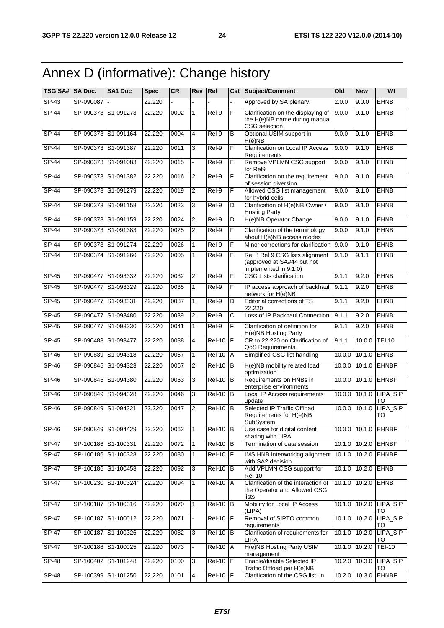## Annex D (informative): Change history

| TSG SA# SA Doc. |           | SA1 Doc              | <b>Spec</b> | <b>CR</b> | Rev            | Rel                 |                | <b>Cat Subject/Comment</b>                                                             | Old    | <b>New</b>        | WI                           |
|-----------------|-----------|----------------------|-------------|-----------|----------------|---------------------|----------------|----------------------------------------------------------------------------------------|--------|-------------------|------------------------------|
| $SP-43$         | SP-090087 |                      | 22.220      |           |                |                     |                | Approved by SA plenary.                                                                | 2.0.0  | 9.0.0             | <b>EHNB</b>                  |
| $SP-44$         |           | SP-090373 S1-091273  | 22.220      | 0002      | $\mathbf{1}$   | Rel-9               | F              | Clarification on the displaying of<br>the H(e)NB name during manual<br>CSG selection   | 9.0.0  | 9.1.0             | <b>EHNB</b>                  |
| $SP-44$         |           | SP-090373 S1-091164  | 22.220      | 0004      | $\overline{4}$ | Rel-9               | B              | Optional USIM support in<br>H(e)NB                                                     | 9.0.0  | 9.1.0             | <b>EHNB</b>                  |
| <b>SP-44</b>    |           | SP-090373 S1-091387  | 22.220      | 0011      | 3              | Rel-9               | F              | <b>Clarification on Local IP Access</b><br>Requirements                                | 9.0.0  | 9.1.0             | <b>EHNB</b>                  |
| $SP-44$         |           | SP-090373 S1-091083  | 22.220      | 0015      |                | $ReI-9$             | F              | Remove VPLMN CSG support<br>for Rel9                                                   | 9.0.0  | 9.1.0             | <b>EHNB</b>                  |
| $SP-44$         |           | SP-090373 S1-091382  | 22.220      | 0016      | 2              | Rel-9               | F              | Clarification on the requirement<br>of session diversion.                              | 9.0.0  | 9.1.0             | <b>EHNB</b>                  |
| $SP-44$         |           | SP-090373 S1-091279  | 22.220      | 0019      | $\overline{2}$ | $Rel-9$             | F              | Allowed CSG list management<br>for hybrid cells                                        | 9.0.0  | 9.1.0             | <b>EHNB</b>                  |
| $SP-44$         |           | SP-090373 S1-091158  | 22.220      | 0023      | 3              | $Rel-9$             | D              | Clarification of H(e)NB Owner /<br><b>Hosting Party</b>                                | 9.0.0  | 9.1.0             | <b>EHNB</b>                  |
| $SP-44$         |           | SP-090373 S1-091159  | 22.220      | 0024      | $\overline{2}$ | $Rel-9$             | D              | H(e)NB Operator Change                                                                 | 9.0.0  | 9.1.0             | <b>EHNB</b>                  |
| <b>SP-44</b>    |           | SP-090373 S1-091383  | 22.220      | 0025      | 2              | Rel-9               | F              | Clarification of the terminology<br>about H(e)NB access modes                          | 9.0.0  | 9.1.0             | <b>EHNB</b>                  |
| <b>SP-44</b>    |           | SP-090373 S1-091274  | 22.220      | 0026      | $\mathbf{1}$   | Rel-9               | F              | Minor corrections for clarification                                                    | 9.0.0  | 9.1.0             | <b>EHNB</b>                  |
| $SP-44$         |           | SP-090374 S1-091260  | 22.220      | 0005      | 1              | Rel-9               | F              | Rel 8 Rel 9 CSG lists alignment<br>(approved at SA#44 but not<br>implemented in 9.1.0) | 9.1.0  | 9.1.1             | <b>EHNB</b>                  |
| SP-45           | SP-090477 | S1-093332            | 22.220      | 0032      | 2              | Rel-9               | F              | <b>CSG Lists clarification</b>                                                         | 9.1.1  | 9.2.0             | <b>EHNB</b>                  |
| $SP-45$         |           | SP-090477 S1-093329  | 22.220      | 0035      | 1              | Rel-9               | F              | IP access approach of backhaul<br>network for H(e)NB                                   | 9.1.1  | 9.2.0             | <b>EHNB</b>                  |
| SP-45           |           | SP-090477 S1-093331  | 22.220      | 0037      | $\mathbf{1}$   | Rel-9               | D              | Editorial corrections of TS<br>22.220                                                  | 9.1.1  | 9.2.0             | <b>EHNB</b>                  |
| $SP-45$         |           | SP-090477 S1-093480  | 22.220      | 0039      | 2              | $ReI-9$             | С              | Loss of IP Backhaul Connection                                                         | 9.1.1  | 9.2.0             | <b>EHNB</b>                  |
| <b>SP-45</b>    |           | SP-090477 S1-093330  | 22.220      | 0041      | $\mathbf{1}$   | Rel-9               | $\overline{F}$ | Clarification of definition for<br>H(e)NB Hosting Party                                | 9.1.1  | 9.2.0             | <b>EHNB</b>                  |
| $SP-45$         |           | SP-090483 S1-093477  | 22.220      | 0038      | $\overline{4}$ | $Rel-10$            | $\overline{F}$ | CR to 22.220 on Clarification of<br>QoS Requirements                                   | 9.1.1  | 10.0.0            | <b>TEI 10</b>                |
| SP-46           |           | SP-090839 S1-094318  | 22.220      | 0057      | $\mathbf{1}$   | <b>Rel-10</b>       | Α              | Simplified CSG list handling                                                           | 10.0.0 | 10.1.0            | EHNB                         |
| SP-46           |           | SP-090845 S1-094323  | 22.220      | 0067      | $\overline{2}$ | <b>Rel-10</b>       | B              | H(e)NB mobility related load<br>optimization                                           | 10.0.0 | 10.1.0            | <b>EHNBF</b>                 |
| SP-46           |           | SP-090845 S1-094380  | 22.220      | 0063      | 3              | <b>Rel-10</b>       | $\sf B$        | Requirements on HNBs in<br>enterprise environments                                     | 10.0.0 | 10.1.0            | <b>EHNBF</b>                 |
| SP-46           |           | SP-090849 S1-094328  | 22.220      | 0046      | 3              | <b>Rel-10</b>       | B              | Local IP Access requirements<br>update                                                 | 10.0.0 |                   | 10.1.0 LIPA_SIP<br><b>TO</b> |
| $SP-46$         |           | SP-090849 S1-094321  | 22.220      | 0047      | $\overline{2}$ | $Rel-10$            | <b>IB</b>      | Selected IP Traffic Offload<br>Requirements for H(e)NB<br>SubSystem                    | 10.0.0 | 10.1.0            | LIPA_SIP<br>TO               |
| SP-46           |           | SP-090849 S1-094429  | 22.220      | 0062      | 1              | $Rel-10$ B          |                | Use case for digital content<br>sharing with LIPA                                      |        |                   | 10.0.0 10.1.0 EHNBF          |
| <b>SP-47</b>    |           | SP-100186 S1-100331  | 22.220      | 0072      | 1              | <b>Rel-10</b>       | B              | Termination of data session                                                            |        |                   | 10.1.0 10.2.0 EHNBF          |
| $SP-47$         |           | SP-100186 S1-100328  | 22.220      | 0080      | 1              | $Rel-10$            |                | IMS HNB interworking alignment<br>with SA2 decision                                    | 10.1.0 | 10.2.0            | <b>EHNBF</b>                 |
| $SP-47$         |           | SP-100186 S1-100453  | 22.220      | 0092      | 3              | $Rel-10$ B          |                | Add VPLMN CSG support for<br><b>Rel-10</b>                                             |        | $10.1.0$ $10.2.0$ | <b>EHNB</b>                  |
| $SP-47$         |           | SP-100230 S1-100324r | 22.220      | 0094      | 1              | Rel-10 A            |                | Clarification of the interaction of<br>the Operator and Allowed CSG<br>lists           |        | 10.1.0 10.2.0     | EHNB                         |
| <b>SP-47</b>    |           | SP-100187 S1-100316  | 22.220      | 0070      | $\mathbf{1}$   | $ReI-10$ B          |                | Mobility for Local IP Access<br>(LIPA)                                                 |        |                   | 10.1.0 10.2.0 LIPA_SIP<br>TO |
| SP-47           |           | SP-100187 S1-100012  | 22.220      | 0071      |                | <b>Rel-10</b>       | $\overline{F}$ | Removal of SIPTO common<br>requirements                                                |        | 10.1.0 10.2.0     | LIPA_SIP<br>TO               |
| SP-47           |           | SP-100187 S1-100326  | 22.220      | 0082      | 3              | $\overline{Rel-10}$ | B              | Clarification of requirements for<br>LIPA                                              |        | 10.1.0 10.2.0     | LIPA_SIP<br>то               |
| <b>SP-47</b>    |           | SP-100188 S1-100025  | 22.220      | 0073      | $\overline{a}$ | <b>Rel-10 A</b>     |                | H(e)NB Hosting Party USIM<br>management                                                |        | 10.1.0 10.2.0     | <b>TEI-10</b>                |
| $SP-48$         |           | SP-100402 S1-101248  | 22.220      | 0100      | 3              | $Rel-10$ $F$        |                | Enable/disable Selected IP<br>Traffic Offload per H(e)NB                               |        | 10.2.0 10.3.0     | LIPA_SIP<br>TO               |
| $SP-48$         | SP-100399 | S1-101250            | 22.220      | 0101      | $\overline{4}$ | $Rel-10$            | F              | Clarification of the CSG list in                                                       |        | 10.2.0 10.3.0     | <b>EHNBF</b>                 |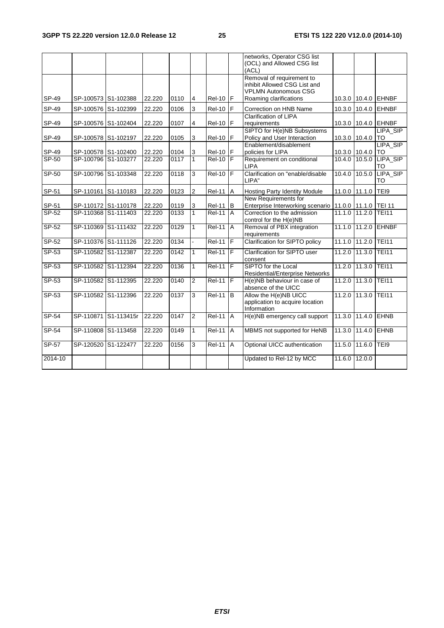|          |                     |                      |        |      |                |               |                | networks, Operator CSG list<br>(OCL) and Allowed CSG list<br>(ACL)                       |               |                      |                        |
|----------|---------------------|----------------------|--------|------|----------------|---------------|----------------|------------------------------------------------------------------------------------------|---------------|----------------------|------------------------|
|          |                     |                      |        |      |                |               |                | Removal of requirement to<br>inhibit Allowed CSG List and<br><b>VPLMN Autonomous CSG</b> |               |                      |                        |
| SP-49    | SP-100573 S1-102388 |                      | 22.220 | 0110 | $\overline{4}$ | Rel-10 F      |                | Roaming clarifications                                                                   |               |                      | 10.3.0 10.4.0 EHNBF    |
| SP-49    |                     | SP-100576 S1-102399  | 22.220 | 0106 | 3              | <b>Rel-10</b> | F              | Correction on HNB Name                                                                   |               |                      | 10.3.0 10.4.0 EHNBF    |
| SP-49    |                     | SP-100576 S1-102404  | 22.220 | 0107 | 4              | <b>Rel-10</b> | F              | <b>Clarification of LIPA</b><br>requirements                                             | 10.3.0        |                      | 10.4.0 EHNBF           |
| SP-49    | SP-100578 S1-102197 |                      | 22.220 | 0105 | 3              | <b>Rel-10</b> | F              | SIPTO for H(e)NB Subsystems<br>Policy and User Interaction                               |               | 10.3.0 10.4.0        | LIPA SIP<br><b>TO</b>  |
| SP-49    |                     | SP-100578 S1-102400  | 22.220 | 0104 | 3              | <b>Rel-10</b> | $\mathsf F$    | Enablement/disablement<br>policies for LIPA                                              |               | 10.3.0 10.4.0        | LIPA_SIP<br><b>ITO</b> |
| $SP-50$  | SP-100796 S1-103277 |                      | 22.220 | 0117 | 1              | <b>Rel-10</b> | l F            | Requirement on conditional<br><b>LIPA</b>                                                |               | 10.4.0 10.5.0        | LIPA_SIP<br>TO         |
| SP-50    | SP-100796 S1-103348 |                      | 22.220 | 0118 | 3              | <b>Rel-10</b> | $\overline{r}$ | Clarification on "enable/disable<br>LIPA"                                                | 10.4.0        | 10.5.0               | LIPA_SIP<br>TO         |
| SP-51    | SP-110161           | S1-110183            | 22.220 | 0123 | 2              | <b>Rel-11</b> | $\overline{A}$ | Hosting Party Identity Module                                                            |               | 11.0.0 11.1.0        | TEI9                   |
| SP-51    |                     | SP-110172 S1-110178  | 22.220 | 0119 | $\sqrt{3}$     | <b>Rel-11</b> | B              | New Requirements for<br>Enterprise Interworking scenario                                 |               | 11.0.0 11.1.0 TEI 11 |                        |
| $SP-52$  |                     | SP-110368 S1-111403  | 22.220 | 0133 | $\overline{1}$ | $Rel-11$ A    |                | Correction to the admission<br>control for the H(e)NB                                    | 11.1.0 11.2.0 |                      | <b>TEI11</b>           |
| $SP-52$  |                     | SP-110369 S1-111432  | 22.220 | 0129 | $\mathbf{1}$   | <b>Rel-11</b> | A              | Removal of PBX integration<br>requirements                                               |               | 11.1.0 11.2.0        | <b>EHNBF</b>           |
| $SP-52$  |                     | SP-110376 S1-111126  | 22.220 | 0134 | ä,             | <b>Rel-11</b> | $\overline{F}$ | Clarification for SIPTO policy                                                           |               | 11.1.0 11.2.0        | <b>TEI11</b>           |
| $SP-53$  | SP-110582 S1-112387 |                      | 22.220 | 0142 | $\mathbf{1}$   | <b>Rel-11</b> | IF             | Clarification for SIPTO user<br>consent                                                  | 11.2.0        | 11.3.0               | <b>TEI11</b>           |
| SP-53    |                     | SP-110582 S1-112394  | 22.220 | 0136 | 1              | <b>Rel-11</b> | $\overline{F}$ | SIPTO for the Local<br><b>Residential/Enterprise Networks</b>                            | 11.2.0        | 11.3.0               | <b>TEI11</b>           |
| $SP-53$  |                     | SP-110582 S1-112395  | 22.220 | 0140 | $\overline{2}$ | <b>Rel-11</b> | F              | H(e)NB behaviour in case of<br>absence of the UICC                                       | 11.2.0        | 11.3.0               | <b>TEI11</b>           |
| $SP-53$  |                     | SP-110582 S1-112396  | 22.220 | 0137 | 3              | $ReI-11$      | Б              | Allow the H(e)NB UICC<br>application to acquire location<br>Information                  |               | 11.2.0 11.3.0        | TEI11                  |
| SP-54    |                     | SP-110871 S1-113415r | 22.220 | 0147 | $\overline{2}$ | <b>Rel-11</b> | A              | H(e)NB emergency call support                                                            | 11.3.0        | 11.4.0               | <b>EHNB</b>            |
| $SP-54$  |                     | SP-110808 S1-113458  | 22.220 | 0149 | 1              | <b>Rel-11</b> | A              | MBMS not supported for HeNB                                                              | 11.3.0 11.4.0 |                      | <b>EHNB</b>            |
| $S P-57$ | SP-120520           | S1-122477            | 22.220 | 0156 | 3              | <b>Rel-11</b> | $\overline{A}$ | Optional UICC authentication                                                             | 11.5.0        | 11.6.0               | TEI9                   |
| 2014-10  |                     |                      |        |      |                |               |                | Updated to Rel-12 by MCC                                                                 | 11.6.0        | 12.0.0               |                        |